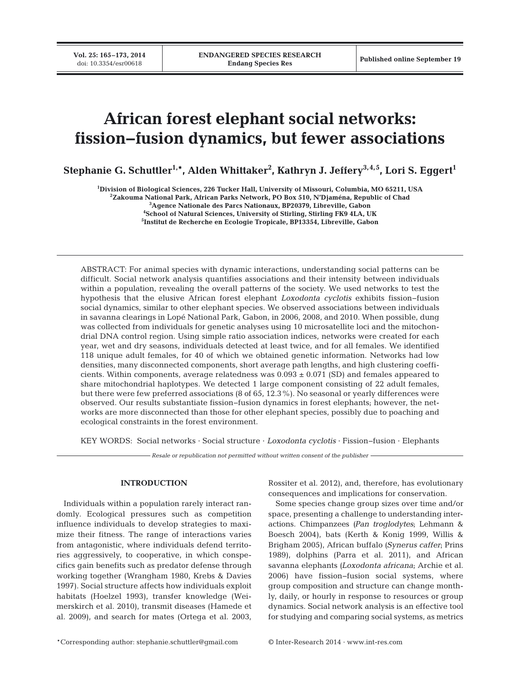# **African forest elephant social networks: fission−fusion dynamics, but fewer associations**

Stephanie G. Schuttler<sup>1,</sup>\*, Alden Whittaker<sup>2</sup>, Kathryn J. Jeffery<sup>3,4,5</sup>, Lori S. Eggert<sup>1</sup>

**1 Division of Biological Sciences, 226 Tucker Hall, University of Missouri, Columbia, MO 65211, USA**

**2 Zakouma National Park, African Parks Network, PO Box 510, N'Djaména, Republic of Chad**

**3 Agence Nationale des Parcs Nationaux, BP20379, Libreville, Gabon**

**4 School of Natural Sciences, University of Stirling, Stirling FK9 4LA, UK**

**5 Institut de Recherche en Ecologie Tropicale, BP13354, Libreville, Gabon**

ABSTRACT: For animal species with dynamic interactions, understanding social patterns can be difficult. Social network analysis quantifies associations and their intensity between individuals within a population, revealing the overall patterns of the society. We used networks to test the hypothesis that the elusive African forest elephant *Loxodonta cyclotis* exhibits fission−fusion social dynamics, similar to other elephant species. We observed associations between individuals in savanna clearings in Lopé National Park, Gabon, in 2006, 2008, and 2010. When possible, dung was collected from individuals for genetic analyses using 10 microsatellite loci and the mitochondrial DNA control region. Using simple ratio association indices, networks were created for each year, wet and dry seasons, individuals detected at least twice, and for all females. We identified 118 unique adult females, for 40 of which we obtained genetic information. Networks had low densities, many disconnected components, short average path lengths, and high clustering coefficients. Within components, average relatedness was  $0.093 \pm 0.071$  (SD) and females appeared to share mitochondrial haplotypes. We detected 1 large component consisting of 22 adult females, but there were few preferred associations (8 of 65, 12.3%). No seasonal or yearly differences were observed. Our results substantiate fission−fusion dynamics in forest elephants; however, the networks are more disconnected than those for other elephant species, possibly due to poaching and ecological constraints in the forest environment.

KEY WORDS: Social networks · Social structure · *Loxodonta cyclotis* · Fission−fusion · Elephants

*Resale or republication not permitted without written consent of the publisher*

## **INTRODUCTION**

Individuals within a population rarely interact randomly. Ecological pressures such as competition influence individuals to develop strategies to maximize their fitness. The range of interactions varies from antagonistic, where individuals defend territories aggressively, to cooperative, in which conspe cifics gain benefits such as predator defense through working together (Wrangham 1980, Krebs & Davies 1997). Social structure affects how individuals exploit habitats (Hoelzel 1993), transfer knowledge (Weimerskirch et al. 2010), transmit diseases (Hamede et al. 2009), and search for mates (Ortega et al. 2003, Rossiter et al. 2012), and, therefore, has evolutionary consequences and implications for conservation.

Some species change group sizes over time and/or space, presenting a challenge to understanding interactions. Chimpanzees *(Pan troglodytes*; Lehmann & Boesch 2004), bats (Kerth & Konig 1999, Willis & Brigham 2005), African buffalo *(Synerus caffer*; Prins 1989), dolphins (Parra et al. 2011), and African savanna elephants *(Loxodonta africana*; Archie et al. 2006) have fission−fusion social systems, where group composition and structure can change month ly, daily, or hourly in response to resources or group dynamics. Social network analysis is an effective tool for studying and comparing social systems, as metrics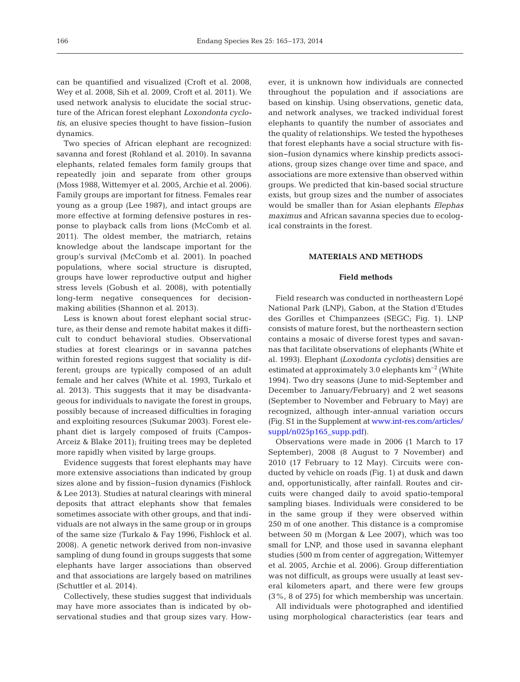can be quantified and visualized (Croft et al. 2008, Wey et al. 2008, Sih et al. 2009, Croft et al. 2011). We used network analysis to elucidate the social structure of the African forest elephant *Loxondonta cyclotis*, an elusive species thought to have fission−fusion dynamics.

Two species of African elephant are recognized: savanna and forest (Rohland et al. 2010). In savanna elephants, related females form family groups that repeatedly join and separate from other groups (Moss 1988, Wittemyer et al. 2005, Archie et al. 2006). Family groups are important for fitness. Females rear young as a group (Lee 1987), and intact groups are more effective at forming defensive postures in response to playback calls from lions (McComb et al. 2011). The oldest member, the matriarch, retains knowledge about the landscape important for the group's survival (McComb et al. 2001). In poached populations, where social structure is disrupted, groups have lower reproductive output and higher stress levels (Gobush et al. 2008), with potentially long-term negative consequences for decisionmaking abilities (Shannon et al. 2013).

Less is known about forest elephant social structure, as their dense and remote habitat makes it difficult to conduct behavioral studies. Observational studies at forest clearings or in savanna patches within forested regions suggest that sociality is different; groups are typically composed of an adult female and her calves (White et al. 1993, Turkalo et al. 2013). This suggests that it may be disadvantageous for individuals to navigate the forest in groups, possibly because of increased difficulties in foraging and exploiting resources (Sukumar 2003). Forest elephant diet is largely composed of fruits (Campos-Arceiz & Blake 2011); fruiting trees may be depleted more rapidly when visited by large groups.

Evidence suggests that forest elephants may have more extensive associations than indicated by group sizes alone and by fission−fusion dynamics (Fishlock & Lee 2013). Studies at natural clearings with mineral deposits that attract elephants show that females sometimes associate with other groups, and that individuals are not always in the same group or in groups of the same size (Turkalo & Fay 1996, Fishlock et al. 2008). A genetic network derived from non-invasive sampling of dung found in groups suggests that some elephants have larger associations than observed and that associations are largely based on matrilines (Schuttler et al. 2014).

Collectively, these studies suggest that individuals may have more associates than is indicated by observational studies and that group sizes vary. However, it is unknown how individuals are connected throughout the population and if associations are based on kinship. Using observations, genetic data, and network analyses, we tracked individual forest elephants to quantify the number of associates and the quality of relationships. We tested the hypotheses that forest elephants have a social structure with fission−fusion dynamics where kinship predicts associations, group sizes change over time and space, and associations are more extensive than observed within groups. We predicted that kin-based social structure exists, but group sizes and the number of associates would be smaller than for Asian elephants *Elephas maximus* and African savanna species due to ecological constraints in the forest.

#### **MATERIALS AND METHODS**

## **Field methods**

Field research was conducted in northeastern Lopé National Park (LNP), Gabon, at the Station d'Etudes des Gorilles et Chimpanzees (SEGC; Fig. 1). LNP consists of mature forest, but the northeastern section contains a mosaic of diverse forest types and savannas that facilitate observations of elephants (White et al. 1993). Elephant *(Loxodonta cyclotis)* densities are estimated at approximately 3.0 elephants km<sup>-2</sup> (White 1994). Two dry seasons (June to mid-September and December to January/February) and 2 wet seasons (September to November and February to May) are recognized, although inter-annual variation occurs (Fig. S1 in the Supplement at www.int-res.com/articles/  $supp1/n025p165 supp.pdf$ .

Observations were made in 2006 (1 March to 17 September), 2008 (8 August to 7 November) and 2010 (17 February to 12 May). Circuits were conducted by vehicle on roads (Fig. 1) at dusk and dawn and, opportunistically, after rainfall. Routes and circuits were changed daily to avoid spatio-temporal sampling biases. Individuals were considered to be in the same group if they were observed within 250 m of one another. This distance is a compromise between 50 m (Morgan & Lee 2007), which was too small for LNP, and those used in savanna elephant studies (500 m from center of aggregation; Wittemyer et al. 2005, Archie et al. 2006). Group differentiation was not difficult, as groups were usually at least several kilometers apart, and there were few groups (3%, 8 of 275) for which membership was uncertain.

All individuals were photographed and identified using morphological characteristics (ear tears and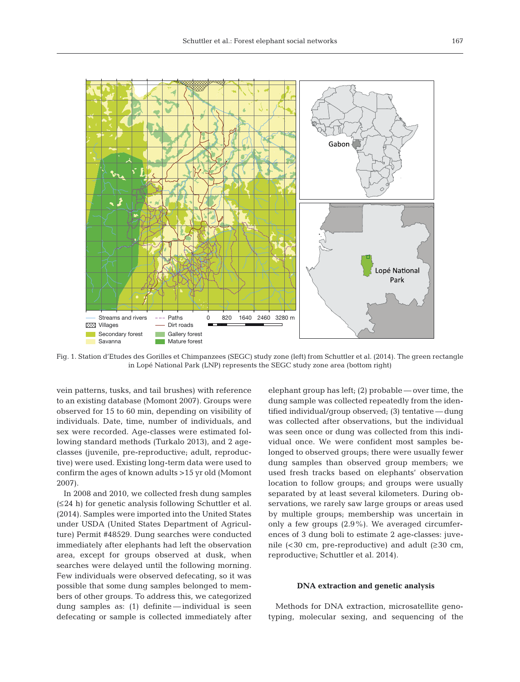

Fig. 1. Station d'Etudes des Gorilles et Chimpanzees (SEGC) study zone (left) from Schuttler et al. (2014). The green rectangle in Lopé National Park (LNP) represents the SEGC study zone area (bottom right)

vein patterns, tusks, and tail brushes) with reference to an existing database (Momont 2007). Groups were observed for 15 to 60 min, depending on visibility of individuals. Date, time, number of individuals, and sex were recorded. Age-classes were estimated following standard me thods (Turkalo 2013), and 2 ageclasses (juvenile, pre-reproductive; adult, reproductive) were used. Existing long-term data were used to confirm the ages of known adults >15 yr old (Momont 2007).

In 2008 and 2010, we collected fresh dung samples (≤24 h) for genetic analysis following Schuttler et al. (2014). Samples were imported into the United States under USDA (United States Department of Agriculture) Permit #48529. Dung searches were conducted immediately after elephants had left the observation area, except for groups observed at dusk, when searches were delayed until the following morning. Few individuals were observed defecating, so it was possible that some dung samples belonged to members of other groups. To address this, we categorized dung samples as: (1) definite — individual is seen defecating or sample is collected immediately after elephant group has left; (2) probable — over time, the dung sample was collected repeatedly from the identified individual/group observed; (3) tentative — dung was collected after observations, but the individual was seen once or dung was collected from this individual once. We were confident most samples belonged to observed groups; there were usually fewer dung samples than observed group members; we used fresh tracks based on elephants' observation location to follow groups; and groups were usually separated by at least several kilometers. During ob servations, we rarely saw large groups or areas used by multiple groups; membership was uncertain in only a few groups (2.9%). We averaged circumferences of 3 dung boli to estimate 2 age-classes: juvenile (<30 cm, pre-reproductive) and adult  $(≥30$  cm, reproductive; Schuttler et al. 2014).

#### **DNA extraction and genetic analysis**

Methods for DNA extraction, microsatellite genotyping, molecular sexing, and sequencing of the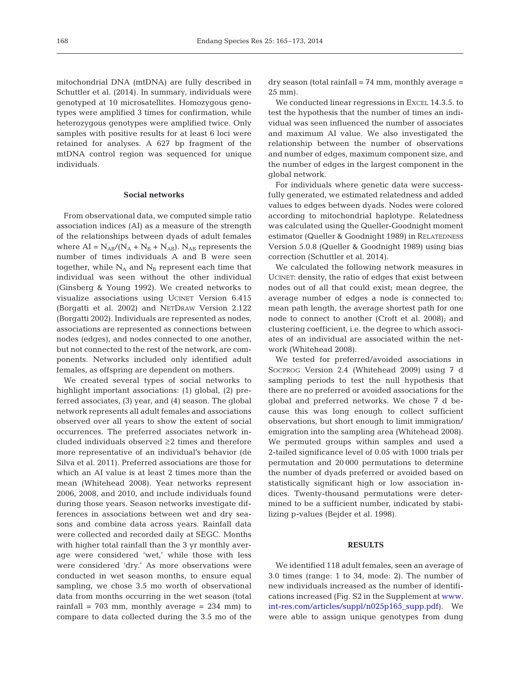mitochondrial DNA (mtDNA) are fully described in Schuttler et al. (2014). In summary, individuals were genotyped at 10 microsatellites. Homozygous genotypes were amplified 3 times for confirmation, while heterozygous genotypes were amplified twice. Only samples with positive results for at least 6 loci were retained for analyses. A 627 bp fragment of the mtDNA control region was sequenced for unique individuals.

## **Social networks**

From observational data, we computed simple ratio association indices (AI) as a measure of the strength of the relationships between dyads of adult females where  $AI = N_{AB}/(N_A + N_B + N_{AB})$ .  $N_{AB}$  represents the number of times individuals A and B were seen together, while  $N_A$  and  $N_B$  represent each time that individual was seen without the other individual (Ginsberg & Young 1992). We created networks to visualize associations using UCINET Version 6.415 (Borgatti et al. 2002) and NETDRAW Version 2.122 (Borgatti 2002). Individuals are represented as nodes, associations are represented as connections between nodes (edges), and nodes connected to one another, but not connected to the rest of the network, are components. Networks included only identified adult females, as offspring are dependent on mothers.

We created several types of social networks to highlight important associations: (1) global, (2) preferred associates, (3) year, and (4) season. The global network represents all adult females and associations observed over all years to show the extent of social occurrences. The preferred associates network in cluded individuals observed ≥2 times and therefore more representative of an individual's behavior (de Silva et al. 2011). Preferred associations are those for which an AI value is at least 2 times more than the mean (Whitehead 2008). Year networks represent 2006, 2008, and 2010, and include individuals found during those years. Season networks investigate differences in associations between wet and dry seasons and combine data across years. Rainfall data were collected and recorded daily at SEGC. Months with higher total rainfall than the 3 yr monthly average were considered 'wet,' while those with less were considered 'dry.' As more observations were conducted in wet season months, to ensure equal sampling, we chose 3.5 mo worth of observational data from months occurring in the wet season (total rainfall =  $703$  mm, monthly average =  $234$  mm) to compare to data collected during the 3.5 mo of the

 $\frac{dy}{dx}$  dry season (total rainfall = 74 mm, monthly average = 25 mm).

We conducted linear regressions in EXCEL 14.3.5. to test the hypothesis that the number of times an individual was seen influenced the number of associates and maximum AI value. We also investigated the relationship between the number of observations and number of edges, maximum component size, and the number of edges in the largest component in the global network.

For individuals where genetic data were successfully generated, we estimated relatedness and added values to edges between dyads. Nodes were colored according to mitochondrial haplotype. Relatedness was calculated using the Queller-Goodnight moment estimator (Queller & Goodnight 1989) in RELATEDNESS Version 5.0.8 (Queller & Goodnight 1989) using bias correction (Schuttler et al. 2014).

We calculated the following network measures in UCINET: density, the ratio of edges that exist between nodes out of all that could exist; mean degree, the average number of edges a node is connected to; mean path length, the average shortest path for one node to connect to another (Croft et al. 2008); and clustering coefficient, i.e. the degree to which associates of an individual are associated within the network (Whitehead 2008).

We tested for preferred/avoided associations in SOCPROG Version 2.4 (Whitehead 2009) using 7 d sampling periods to test the null hypothesis that there are no preferred or avoided associations for the global and preferred networks. We chose 7 d be cause this was long enough to collect sufficient observations, but short enough to limit immigration/ emigration into the sampling area (Whitehead 2008). We permuted groups within samples and used a 2-tailed significance level of 0.05 with 1000 trials per permutation and 20 000 permutations to determine the number of dyads preferred or avoided based on statistically significant high or low association in dices. Twenty-thousand permutations were determined to be a sufficient number, indicated by stabilizing p-values (Bejder et al. 1998).

# **RESULTS**

We identified 118 adult females, seen an average of 3.0 times (range: 1 to 34, mode: 2). The number of new individuals increased as the number of identifications increased (Fig. S2 in the Supplement at [www.](http://www.int-res.com/articles/suppl/n025p165_supp.pdf) int-res.com/articles/suppl/n025p165\_supp.pdf). We were able to assign unique genotypes from dung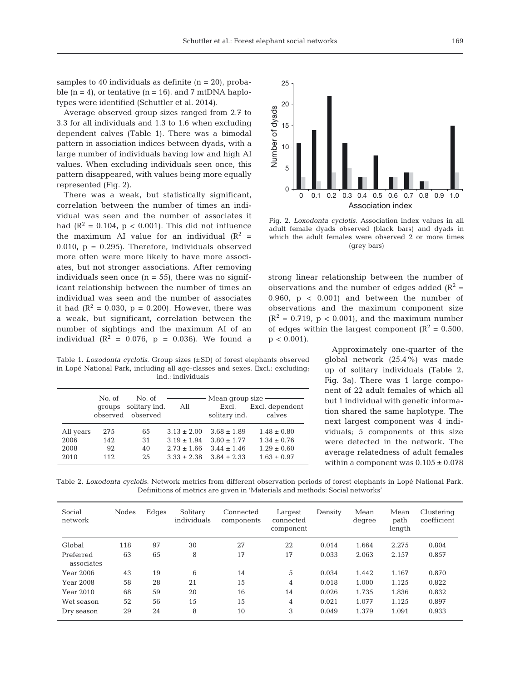samples to 40 individuals as definite  $(n = 20)$ , probable  $(n = 4)$ , or tentative  $(n = 16)$ , and 7 mtDNA haplotypes were identified (Schuttler et al. 2014).

Average observed group sizes ranged from 2.7 to 3.3 for all individuals and 1.3 to 1.6 when excluding dependent calves (Table 1). There was a bimodal pattern in association indices between dyads, with a large number of individuals having low and high AI values. When excluding individuals seen once, this pattern disappeared, with values being more equally represented (Fig. 2).

There was a weak, but statistically significant, correlation between the number of times an individual was seen and the number of associates it had ( $\mathbb{R}^2 = 0.104$ ,  $p < 0.001$ ). This did not influence the maximum AI value for an individual  $(R^2 =$ 0.010,  $p = 0.295$ ). Therefore, individuals observed more often were more likely to have more associates, but not stronger associations. After removing individuals seen once  $(n = 55)$ , there was no significant relationship between the number of times an individual was seen and the number of associates it had  $(R^2 = 0.030, p = 0.200)$ . However, there was a weak, but significant, correlation between the number of sightings and the maximum AI of an individual  $(R^2 = 0.076, p = 0.036)$ . We found a

Table 1. *Loxodonta cyclotis*. Group sizes (±SD) of forest elephants observed in Lopé National Park, including all age-classes and sexes. Excl.: excluding; ind.: individuals

|                           | No. of<br>groups | No. of<br>solitary ind.<br>observed observed | All                                                   | — Mean group size -<br>Excl.<br>solitary ind.       | Excl. dependent<br>calves                             |
|---------------------------|------------------|----------------------------------------------|-------------------------------------------------------|-----------------------------------------------------|-------------------------------------------------------|
| All years<br>2006<br>2008 | 275<br>142<br>92 | 65<br>31<br>40                               | $3.13 \pm 2.00$<br>$3.19 \pm 1.94$<br>$2.73 \pm 1.66$ | $3.68 \pm 1.89$<br>$3.80 \pm 1.77$<br>$3.44 + 1.46$ | $1.48 \pm 0.80$<br>$1.34 \pm 0.76$<br>$1.29 \pm 0.60$ |
| 2010                      | 112              | 25                                           |                                                       | $3.33 \pm 2.38$ $3.84 \pm 2.33$                     | $1.63 \pm 0.97$                                       |



Fig. 2. *Loxodonta cyclotis*. Association index values in all adult female dyads observed (black bars) and dyads in which the adult females were observed 2 or more times (grey bars)

strong linear relationship between the number of observations and the number of edges added  $(R^2 =$ 0.960,  $p < 0.001$  and between the number of observations and the maximum component size  $(R^2 = 0.719, p < 0.001)$ , and the maximum number of edges within the largest component ( $R^2 = 0.500$ ,  $p < 0.001$ ).

> Approximately one-quarter of the global network (25.4%) was made up of solitary individuals (Table 2, Fig. 3a). There was 1 large component of 22 adult females of which all but 1 individual with genetic information shared the same haplotype. The next largest component was 4 individuals; 5 components of this size were detected in the network. The average relatedness of adult females within a component was  $0.105 \pm 0.078$

Table 2. *Loxodonta cyclotis*. Network metrics from different observation periods of forest elephants in Lopé National Park. Definitions of metrics are given in 'Materials and methods: Social networks'

| Social<br>network       | <b>Nodes</b> | Edges | Solitary<br>individuals | Connected<br>components | Largest<br>connected<br>component | Density | Mean<br>degree | Mean<br>path<br>length | Clustering<br>coefficient |
|-------------------------|--------------|-------|-------------------------|-------------------------|-----------------------------------|---------|----------------|------------------------|---------------------------|
| Global                  | 118          | 97    | 30                      | 27                      | 22                                | 0.014   | 1.664          | 2.275                  | 0.804                     |
| Preferred<br>associates | 63           | 65    | 8                       | 17                      | 17                                | 0.033   | 2.063          | 2.157                  | 0.857                     |
| Year 2006               | 43           | 19    | 6                       | 14                      | 5                                 | 0.034   | 1.442          | 1.167                  | 0.870                     |
| <b>Year 2008</b>        | 58           | 28    | 21                      | 15                      | 4                                 | 0.018   | 1.000          | 1.125                  | 0.822                     |
| Year 2010               | 68           | 59    | 20                      | 16                      | 14                                | 0.026   | 1.735          | 1.836                  | 0.832                     |
| Wet season              | 52           | 56    | 15                      | 15                      | 4                                 | 0.021   | 1.077          | 1.125                  | 0.897                     |
| Dry season              | 29           | 24    | 8                       | 10                      | 3                                 | 0.049   | 1.379          | 1.091                  | 0.933                     |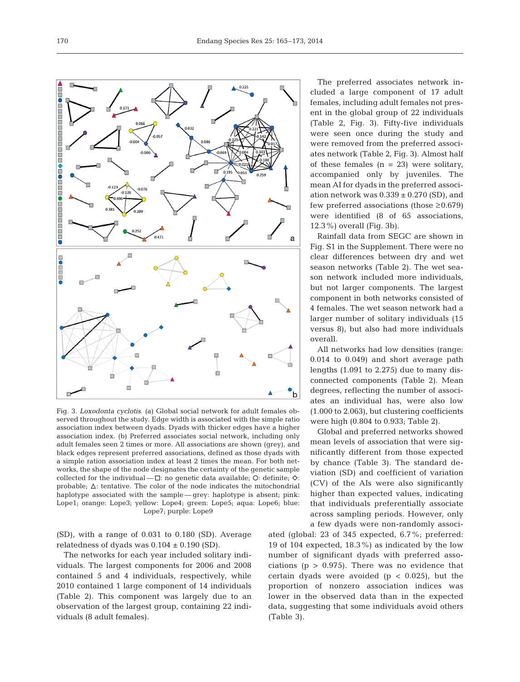Ė É Fig. 3. *Loxodonta cyclotis*. (a) Global social network for adult females observed throughout the study. Edge width is associated with the simple ratio

association index between dyads. Dyads with thicker edges have a higher association index. (b) Preferred associates social network, including only adult females seen 2 times or more. All associations are shown (grey), and black edges represent preferred associations, defined as those dyads with a simple ration association index at least 2 times the mean. For both networks, the shape of the node designates the certainty of the genetic sample collected for the individual  $-\Box$ : no genetic data available; O: definite;  $\diamond$ : probable;  $\Delta$ : tentative. The color of the node indicates the mitochondrial haplotype associated with the sample — grey: haplotype is absent; pink: Lope1; orange: Lope3; yellow: Lope4; green: Lope5; aqua: Lope6; blue: Lope7; purple: Lope9

(SD), with a range of 0.031 to 0.180 (SD). Average relatedness of dyads was  $0.104 \pm 0.190$  (SD).

The networks for each year included solitary individuals. The largest components for 2006 and 2008 contained 5 and 4 individuals, respectively, while 2010 contained 1 large component of 14 individuals (Table 2). This component was largely due to an observation of the largest group, containing 22 individuals (8 adult females).

The preferred associates network included a large component of 17 adult females, including adult females not present in the global group of 22 individuals (Table 2, Fig. 3). Fifty-five individuals were seen once during the study and were removed from the preferred associates network (Table 2, Fig. 3). Almost half of these females  $(n = 23)$  were solitary, accompanied only by juveniles. The mean AI for dyads in the preferred association network was  $0.339 \pm 0.270$  (SD), and few preferred associations (those  $\geq 0.679$ ) were identified (8 of 65 associations, 12.3%) overall (Fig. 3b).

Rainfall data from SEGC are shown in Fig. S1 in the Supplement. There were no clear differences between dry and wet season networks (Table 2). The wet season network included more individuals, but not larger components. The largest component in both networks consisted of 4 females. The wet season network had a larger number of solitary individuals (15 versus 8), but also had more individuals overall.

All networks had low densities (range: 0.014 to 0.049) and short average path lengths (1.091 to 2.275) due to many disconnected components (Table 2). Mean degrees, reflecting the number of associates an individual has, were also low (1.000 to 2.063), but clustering coefficients were high (0.804 to 0.933; Table 2).

Global and preferred networks showed mean levels of association that were significantly different from those expected by chance (Table 3). The standard deviation (SD) and coefficient of variation (CV) of the AIs were also significantly higher than expected values, indicating that individuals preferentially associate across sampling periods. However, only a few dyads were non-randomly associ-

ated (global: 23 of 345 expected, 6.7%; preferred: 19 of 104 expected, 18.3%) as indicated by the low number of significant dyads with preferred associations ( $p > 0.975$ ). There was no evidence that certain dyads were avoided  $(p < 0.025)$ , but the proportion of nonzero association indices was lower in the observed data than in the expected data, suggesting that some individuals avoid others (Table 3).

Endang Species Res 25: 165–173, 2014

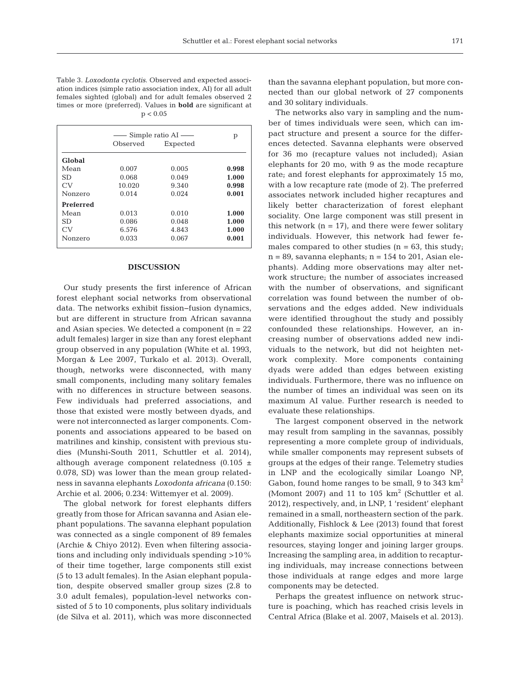Table 3. *Loxodonta cyclotis*. Observed and expected association indices (simple ratio association index, AI) for all adult females sighted (global) and for adult females observed 2 times or more (preferred). Values in **bold** are significant at  $p < 0.05$ 

|               | Simple ratio $AI$ — | р        |       |
|---------------|---------------------|----------|-------|
|               | Observed            | Expected |       |
| <b>Global</b> |                     |          |       |
| Mean          | 0.007               | 0.005    | 0.998 |
| SD.           | 0.068               | 0.049    | 1.000 |
| CV            | 10.020              | 9.340    | 0.998 |
| Nonzero       | 0.014               | 0.024    | 0.001 |
| Preferred     |                     |          |       |
| Mean          | 0.013               | 0.010    | 1.000 |
| SD.           | 0.086               | 0.048    | 1.000 |
| CV            | 6.576               | 4.843    | 1.000 |
| Nonzero       | 0.033               | 0.067    | 0.001 |
|               |                     |          |       |

#### **DISCUSSION**

Our study presents the first inference of African forest elephant social networks from observational data. The networks exhibit fission−fusion dynamics, but are different in structure from African savanna and Asian species. We detected a component  $(n = 22)$ adult females) larger in size than any forest elephant group observed in any population (White et al. 1993, Morgan & Lee 2007, Turkalo et al. 2013). Overall, though, networks were disconnected, with many small components, including many solitary females with no differences in structure between seasons. Few individuals had preferred associations, and those that existed were mostly between dyads, and were not interconnected as larger components. Components and associations appeared to be based on matrilines and kinship, consistent with previous studies (Munshi-South 2011, Schuttler et al. 2014), although average component relatedness  $(0.105 \pm$ 0.078, SD) was lower than the mean group relatedness in savanna elephants *Loxodonta africana* (0.150: Archie et al. 2006; 0.234: Wittemyer et al. 2009).

The global network for forest elephants differs greatly from those for African savanna and Asian elephant populations. The savanna elephant population was connected as a single component of 89 females (Archie & Chiyo 2012). Even when filtering associations and including only individuals spending >10% of their time together, large components still exist (5 to 13 adult females). In the Asian elephant population, despite observed smaller group sizes (2.8 to 3.0 adult females), population-level networks consisted of 5 to 10 components, plus solitary individuals (de Silva et al. 2011), which was more disconnected than the savanna elephant population, but more connected than our global network of 27 components and 30 solitary individuals.

The networks also vary in sampling and the number of times individuals were seen, which can im pact structure and present a source for the differences detected. Savanna elephants were observed for 36 mo (recapture values not included); Asian elephants for 20 mo, with 9 as the mode recapture rate; and forest elephants for approximately 15 mo, with a low recapture rate (mode of 2). The preferred associates network included higher recaptures and likely better characterization of forest elephant sociality. One large component was still present in this network  $(n = 17)$ , and there were fewer solitary individuals. However, this network had fewer females compared to other studies ( $n = 63$ , this study;  $n = 89$ , savanna elephants;  $n = 154$  to 201, Asian elephants). Adding more observations may alter network structure; the number of associates increased with the number of observations, and significant correlation was found between the number of observations and the edges added. New individuals were identified throughout the study and possibly confounded these relationships. However, an increasing number of observations added new individuals to the network, but did not heighten network complexity. More components containing dyads were added than edges between existing individuals. Furthermore, there was no influence on the number of times an individual was seen on its maximum AI value. Further research is needed to evaluate these relationships.

The largest component observed in the network may result from sampling in the savannas, possibly representing a more complete group of individuals, while smaller components may represent subsets of groups at the edges of their range. Telemetry studies in LNP and the ecologically similar Loango NP, Gabon, found home ranges to be small, 9 to 343  $\mathrm{km}^2$ (Momont 2007) and 11 to 105  $km^2$  (Schuttler et al. 2012), respectively, and, in LNP, 1 'resident' elephant remained in a small, northeastern section of the park. Additionally, Fishlock & Lee (2013) found that forest elephants maximize social opportunities at mineral resources, staying longer and joining larger groups. Increasing the sampling area, in addition to recapturing individuals, may increase connections between those individuals at range edges and more large components may be detected.

Perhaps the greatest influence on network structure is poaching, which has reached crisis levels in Central Africa (Blake et al. 2007, Maisels et al. 2013).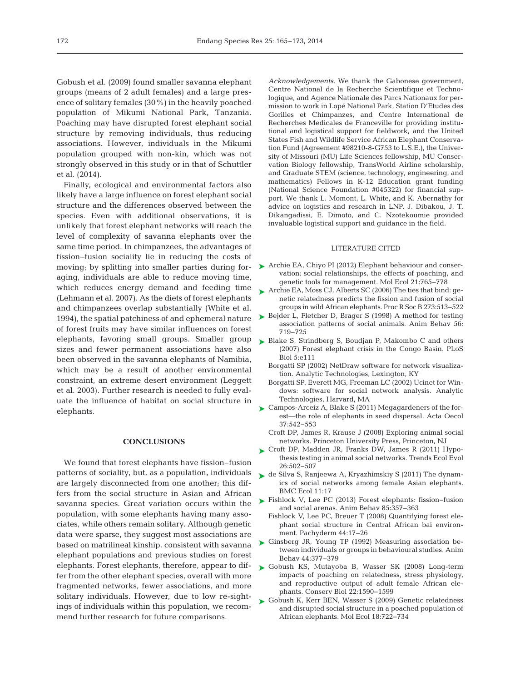Gobush et al. (2009) found smaller savanna elephant groups (means of 2 adult females) and a large presence of solitary females (30%) in the heavily poached population of Mikumi National Park, Tanzania. Poaching may have disrupted forest elephant social structure by removing individuals, thus reducing associations. However, individuals in the Mikumi population grouped with non-kin, which was not strongly observed in this study or in that of Schuttler et al. (2014).

Finally, ecological and environmental factors also likely have a large influence on forest elephant social structure and the differences observed between the species. Even with additional observations, it is unlikely that forest elephant networks will reach the level of complexity of savanna elephants over the same time period. In chimpanzees, the advantages of fission−fusion sociality lie in reducing the costs of aging, individuals are able to reduce moving time, which reduces energy demand and feeding time (Lehmann et al. 2007). As the diets of forest elephants and chimpanzees overlap substantially (White et al. 1994), the spatial patchiness of and ephemeral nature of forest fruits may have similar influences on forest elephants, favoring small groups. Smaller group > [Blake S, Strindberg S, Boudjan P, Makombo C and others](http://dx.doi.org/10.1371/journal.pbio.0050111) sizes and fewer permanent associations have also been observed in the savanna elephants of Namibia, which may be a result of another environmental constraint, an extreme desert environment (Leggett et al. 2003). Further research is needed to fully evaluate the influence of habitat on social structure in elephants.

## **CONCLUSIONS**

We found that forest elephants have fission−fusion patterns of sociality, but, as a population, individuals are largely disconnected from one another; this differs from the social structure in Asian and African savanna species. Great variation occurs within the population, with some elephants having many associates, while others remain solitary. Although genetic data were sparse, they suggest most associations are based on matrilineal kinship, consistent with savanna elephant populations and previous studies on forest elephants. Forest elephants, therefore, appear to differ from the other elephant species, overall with more fragmented networks, fewer associations, and more solitary individuals. However, due to low re-sightings of individuals within this population, we recommend further research for future comparisons.

*Acknowledgements*. We thank the Gabonese government, Centre National de la Recherche Scientifique et Techno logique, and Agence Nationale des Parcs Nationaux for permission to work in Lopé National Park, Station D'Etudes des Gorilles et Chimpanzes, and Centre International de Recherches Medicales de Franceville for providing institutional and logistical support for fieldwork, and the United States Fish and Wildlife Service African Elephant Conservation Fund (Agreement #98210-8-G753 to L.S.E.), the University of Missouri (MU) Life Sciences fellowship, MU Conservation Biology fellowship, TransWorld Airline scholarship, and Graduate STEM (science, technology, engineering, and mathematics) Fellows in K-12 Education grant funding (National Science Foundation #045322) for financial support. We thank L. Momont, L. White, and K. Abernathy for advice on logistics and research in LNP. J. Dibakou, J. T. Dikangadissi, E. Dimoto, and C. Nzotekoumie provided invaluable logistical support and guidance in the field.

#### LITERATURE CITED

- moving; by splitting into smaller parties during for-<br>
Searchie EA, Chiyo PI (2012) Elephant behaviour and conservation: social relationships, the effects of poaching, and genetic tools for management. Mol Ecol 21:765-778
	- ▶ Archie EA, Moss CJ, Alberts SC (2006) The ties that bind: genetic relatedness predicts the fission and fusion of social groups in wild African elephants. Proc R Soc B 273: 513−522
	- ► [Bejder L, Fletcher D, Brager S \(1998\) A method for testing](http://dx.doi.org/10.1006/anbe.1998.0802) association patterns of social animals. Anim Behav 56: 719−725
	- (2007) Forest elephant crisis in the Congo Basin. PLoS Biol 5: e111
	- Borgatti SP (2002) NetDraw software for network visualization. Analytic Technologies, Lexington, KY
	- Borgatti SP, Everett MG, Freeman LC (2002) Ucinet for Windows: software for social network analysis. Analytic Technologies, Harvard, MA
	- ► [Campos-Arceiz A, Blake S \(2011\) Megagardeners of the for](http://dx.doi.org/10.1016/j.actao.2011.01.014)est—the role of elephants in seed dispersal. Acta Oecol 37: 542−553
		- Croft DP, James R, Krause J (2008) Exploring animal social networks. Princeton University Press, Princeton, NJ
	- ▶ Croft DP, Madden JR, Franks DW, James R (2011) Hypothesis testing in animal social networks. Trends Ecol Evol 26: 502−507
	- [de Silva S, Ranjeewa A, Kryazhimskiy S \(2011\) The dynam-](http://dx.doi.org/10.1186/1472-6785-11-17)➤ ics of social networks among female Asian elephants. **BMC Ecol 11:17**
	- [Fishlock V, Lee PC \(2013\) Forest elephants: fission−fusion](http://dx.doi.org/10.1016/j.anbehav.2012.11.004) ➤ and social arenas. Anim Behav 85: 357−363
		- Fishlock V, Lee PC, Breuer T (2008) Quantifying forest elephant social structure in Central African bai environment. Pachyderm 44: 17−26
	- [Ginsberg JR, Young TP \(1992\) Measuring association be -](http://dx.doi.org/10.1016/0003-3472(92)90042-8) ➤ tween individuals or groups in behavioural studies. Anim Behav 44: 377−379
	- ► [Gobush KS, Mutayoba B, Wasser SK \(2008\) Long-term](http://dx.doi.org/10.1111/j.1523-1739.2008.01035.x) impacts of poaching on relatedness, stress physiology, and reproductive output of adult female African elephants. Conserv Biol 22: 1590−1599
	- ► [Gobush K, Kerr BEN, Wasser S \(2009\) Genetic relatedness](http://dx.doi.org/10.1111/j.1365-294X.2008.04043.x) and disrupted social structure in a poached population of African elephants. Mol Ecol 18: 722−734